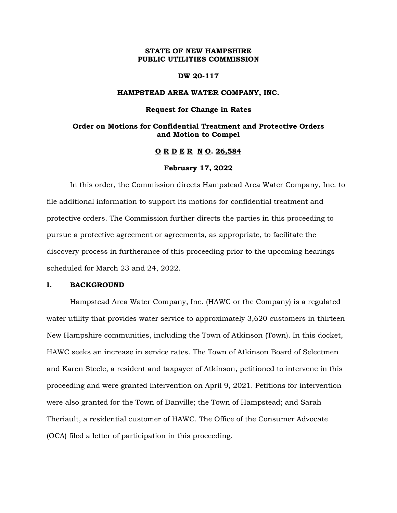# **STATE OF NEW HAMPSHIRE PUBLIC UTILITIES COMMISSION**

#### **DW 20-117**

## **HAMPSTEAD AREA WATER COMPANY, INC.**

#### **Request for Change in Rates**

# **Order on Motions for Confidential Treatment and Protective Orders and Motion to Compel**

# **O R D E R N O. 26,584**

## **February 17, 2022**

In this order, the Commission directs Hampstead Area Water Company, Inc. to file additional information to support its motions for confidential treatment and protective orders. The Commission further directs the parties in this proceeding to pursue a protective agreement or agreements, as appropriate, to facilitate the discovery process in furtherance of this proceeding prior to the upcoming hearings scheduled for March 23 and 24, 2022.

### **I. BACKGROUND**

Hampstead Area Water Company, Inc. (HAWC or the Company) is a regulated water utility that provides water service to approximately 3,620 customers in thirteen New Hampshire communities, including the Town of Atkinson (Town). In this docket, HAWC seeks an increase in service rates. The Town of Atkinson Board of Selectmen and Karen Steele, a resident and taxpayer of Atkinson, petitioned to intervene in this proceeding and were granted intervention on April 9, 2021. Petitions for intervention were also granted for the Town of Danville; the Town of Hampstead; and Sarah Theriault, a residential customer of HAWC. The Office of the Consumer Advocate (OCA) filed a letter of participation in this proceeding.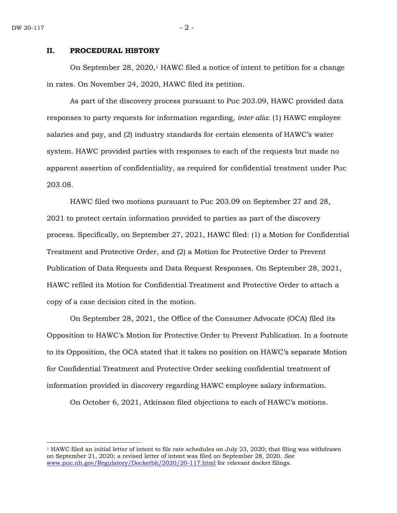#### **II. PROCEDURAL HISTORY**

On September 28, 2020, <sup>1</sup> HAWC filed a notice of intent to petition for a change in rates. On November 24, 2020, HAWC filed its petition.

As part of the discovery process pursuant to Puc 203.09, HAWC provided data responses to party requests for information regarding, *inter alia*: (1) HAWC employee salaries and pay, and (2) industry standards for certain elements of HAWC's water system. HAWC provided parties with responses to each of the requests but made no apparent assertion of confidentiality, as required for confidential treatment under Puc 203.08.

HAWC filed two motions pursuant to Puc 203.09 on September 27 and 28, 2021 to protect certain information provided to parties as part of the discovery process. Specifically, on September 27, 2021, HAWC filed: (1) a Motion for Confidential Treatment and Protective Order, and (2) a Motion for Protective Order to Prevent Publication of Data Requests and Data Request Responses. On September 28, 2021, HAWC refiled its Motion for Confidential Treatment and Protective Order to attach a copy of a case decision cited in the motion.

On September 28, 2021, the Office of the Consumer Advocate (OCA) filed its Opposition to HAWC's Motion for Protective Order to Prevent Publication. In a footnote to its Opposition, the OCA stated that it takes no position on HAWC's separate Motion for Confidential Treatment and Protective Order seeking confidential treatment of information provided in discovery regarding HAWC employee salary information.

On October 6, 2021, Atkinson filed objections to each of HAWC's motions.

<sup>1</sup> HAWC filed an initial letter of intent to file rate schedules on July 23, 2020; that filing was withdrawn on September 21, 2020; a revised letter of intent was filed on September 28, 2020. *See* [www.puc.nh.gov/Regulatory/Docketbk/2020/20-117.html](http://www.puc.nh.gov/Regulatory/Docketbk/2020/20-117.html) for relevant docket filings.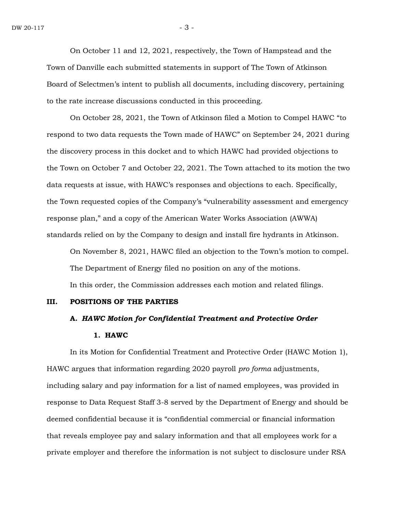On October 11 and 12, 2021, respectively, the Town of Hampstead and the Town of Danville each submitted statements in support of The Town of Atkinson Board of Selectmen's intent to publish all documents, including discovery, pertaining to the rate increase discussions conducted in this proceeding.

On October 28, 2021, the Town of Atkinson filed a Motion to Compel HAWC "to respond to two data requests the Town made of HAWC" on September 24, 2021 during the discovery process in this docket and to which HAWC had provided objections to the Town on October 7 and October 22, 2021. The Town attached to its motion the two data requests at issue, with HAWC's responses and objections to each. Specifically, the Town requested copies of the Company's "vulnerability assessment and emergency response plan," and a copy of the American Water Works Association (AWWA) standards relied on by the Company to design and install fire hydrants in Atkinson.

On November 8, 2021, HAWC filed an objection to the Town's motion to compel. The Department of Energy filed no position on any of the motions. In this order, the Commission addresses each motion and related filings.

#### **III. POSITIONS OF THE PARTIES**

# **A.** *HAWC Motion for Confidential Treatment and Protective Order*

## **1. HAWC**

In its Motion for Confidential Treatment and Protective Order (HAWC Motion 1), HAWC argues that information regarding 2020 payroll *pro forma* adjustments, including salary and pay information for a list of named employees, was provided in response to Data Request Staff 3-8 served by the Department of Energy and should be deemed confidential because it is "confidential commercial or financial information that reveals employee pay and salary information and that all employees work for a private employer and therefore the information is not subject to disclosure under RSA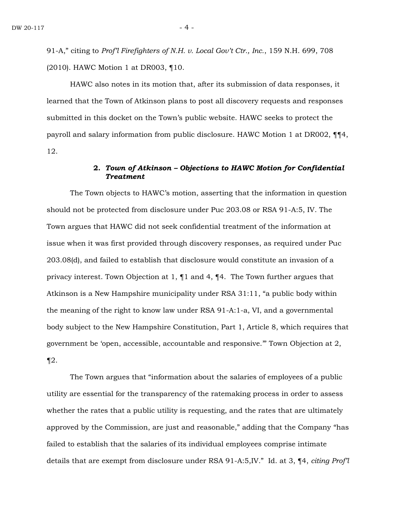91-A," citing to *Prof'l Firefighters of N.H. v. Local Gov't Ctr., Inc.*, 159 N.H. 699, 708 (2010). HAWC Motion 1 at DR003, ¶10.

HAWC also notes in its motion that, after its submission of data responses, it learned that the Town of Atkinson plans to post all discovery requests and responses submitted in this docket on the Town's public website. HAWC seeks to protect the payroll and salary information from public disclosure. HAWC Motion 1 at DR002, ¶¶4, 12.

# **2.** *Town of Atkinson – Objections to HAWC Motion for Confidential Treatment*

The Town objects to HAWC's motion, asserting that the information in question should not be protected from disclosure under Puc 203.08 or RSA 91-A:5, IV. The Town argues that HAWC did not seek confidential treatment of the information at issue when it was first provided through discovery responses, as required under Puc 203.08(d), and failed to establish that disclosure would constitute an invasion of a privacy interest. Town Objection at 1, ¶1 and 4, ¶4. The Town further argues that Atkinson is a New Hampshire municipality under RSA 31:11, "a public body within the meaning of the right to know law under RSA 91-A:1-a, VI, and a governmental body subject to the New Hampshire Constitution, Part 1, Article 8, which requires that government be 'open, accessible, accountable and responsive.'" Town Objection at 2,  $\P2$ .

The Town argues that "information about the salaries of employees of a public utility are essential for the transparency of the ratemaking process in order to assess whether the rates that a public utility is requesting, and the rates that are ultimately approved by the Commission, are just and reasonable," adding that the Company "has failed to establish that the salaries of its individual employees comprise intimate details that are exempt from disclosure under RSA 91-A:5,IV." Id. at 3, ¶4, *citing Prof'l*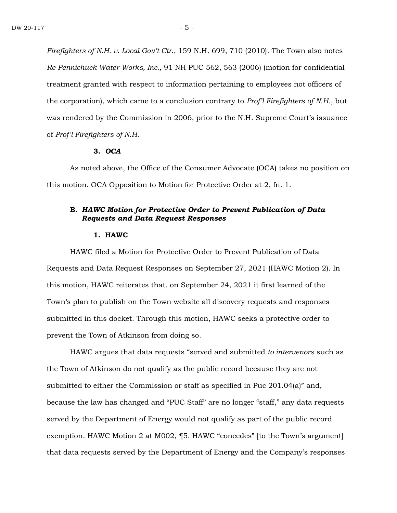*Firefighters of N.H. v. Local Gov't Ctr.*, 159 N.H. 699, 710 (2010). The Town also notes *Re Pennichuck Water Works, Inc.,* 91 NH PUC 562, 563 (2006) (motion for confidential treatment granted with respect to information pertaining to employees not officers of the corporation), which came to a conclusion contrary to *Prof'l Firefighters of N.H.*, but was rendered by the Commission in 2006, prior to the N.H. Supreme Court's issuance of *Prof'l Firefighters of N.H.*

# **3.** *OCA*

As noted above, the Office of the Consumer Advocate (OCA) takes no position on this motion. OCA Opposition to Motion for Protective Order at 2, fn. 1.

# **B.** *HAWC Motion for Protective Order to Prevent Publication of Data Requests and Data Request Responses*

#### **1. HAWC**

HAWC filed a Motion for Protective Order to Prevent Publication of Data Requests and Data Request Responses on September 27, 2021 (HAWC Motion 2). In this motion, HAWC reiterates that, on September 24, 2021 it first learned of the Town's plan to publish on the Town website all discovery requests and responses submitted in this docket. Through this motion, HAWC seeks a protective order to prevent the Town of Atkinson from doing so.

HAWC argues that data requests "served and submitted *to intervenors* such as the Town of Atkinson do not qualify as the public record because they are not submitted to either the Commission or staff as specified in Puc 201.04(a)" and, because the law has changed and "PUC Staff" are no longer "staff," any data requests served by the Department of Energy would not qualify as part of the public record exemption. HAWC Motion 2 at M002, ¶5. HAWC "concedes" [to the Town's argument] that data requests served by the Department of Energy and the Company's responses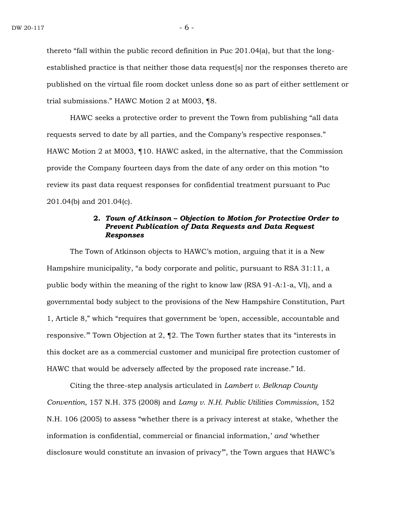thereto "fall within the public record definition in Puc 201.04(a), but that the longestablished practice is that neither those data request[s] nor the responses thereto are published on the virtual file room docket unless done so as part of either settlement or trial submissions." HAWC Motion 2 at M003, ¶8.

HAWC seeks a protective order to prevent the Town from publishing "all data requests served to date by all parties, and the Company's respective responses." HAWC Motion 2 at M003, ¶10. HAWC asked, in the alternative, that the Commission provide the Company fourteen days from the date of any order on this motion "to review its past data request responses for confidential treatment pursuant to Puc 201.04(b) and 201.04(c).

# **2.** *Town of Atkinson* **–** *Objection to Motion for Protective Order to Prevent Publication of Data Requests and Data Request Responses*

The Town of Atkinson objects to HAWC's motion, arguing that it is a New Hampshire municipality, "a body corporate and politic, pursuant to RSA 31:11, a public body within the meaning of the right to know law (RSA 91-A:1-a, VI), and a governmental body subject to the provisions of the New Hampshire Constitution, Part 1, Article 8," which "requires that government be 'open, accessible, accountable and responsive.'" Town Objection at 2, ¶2. The Town further states that its "interests in this docket are as a commercial customer and municipal fire protection customer of HAWC that would be adversely affected by the proposed rate increase." Id.

Citing the three-step analysis articulated in *Lambert v. Belknap County Convention*, 157 N.H. 375 (2008) and *Lamy v. N.H. Public Utilities Commission*, 152 N.H. 106 (2005) to assess "whether there is a privacy interest at stake, 'whether the information is confidential, commercial or financial information,' *and* 'whether disclosure would constitute an invasion of privacy'", the Town argues that HAWC's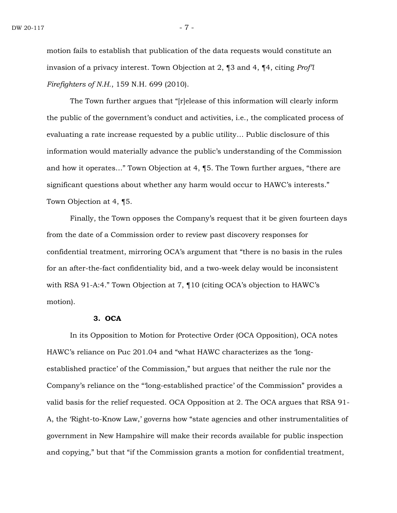motion fails to establish that publication of the data requests would constitute an invasion of a privacy interest. Town Objection at 2, ¶3 and 4, ¶4, citing *Prof'l Firefighters of N.H.*, 159 N.H. 699 (2010).

The Town further argues that "[r]elease of this information will clearly inform the public of the government's conduct and activities, i.e., the complicated process of evaluating a rate increase requested by a public utility… Public disclosure of this information would materially advance the public's understanding of the Commission and how it operates…" Town Objection at 4, ¶5. The Town further argues, "there are significant questions about whether any harm would occur to HAWC's interests." Town Objection at 4, ¶5.

Finally, the Town opposes the Company's request that it be given fourteen days from the date of a Commission order to review past discovery responses for confidential treatment, mirroring OCA's argument that "there is no basis in the rules for an after-the-fact confidentiality bid, and a two-week delay would be inconsistent with RSA 91-A:4." Town Objection at 7, ¶10 (citing OCA's objection to HAWC's motion).

# **3. OCA**

In its Opposition to Motion for Protective Order (OCA Opposition), OCA notes HAWC's reliance on Puc 201.04 and "what HAWC characterizes as the 'longestablished practice' of the Commission," but argues that neither the rule nor the Company's reliance on the "'long-established practice' of the Commission" provides a valid basis for the relief requested. OCA Opposition at 2. The OCA argues that RSA 91- A, the 'Right-to-Know Law,' governs how "state agencies and other instrumentalities of government in New Hampshire will make their records available for public inspection and copying," but that "if the Commission grants a motion for confidential treatment,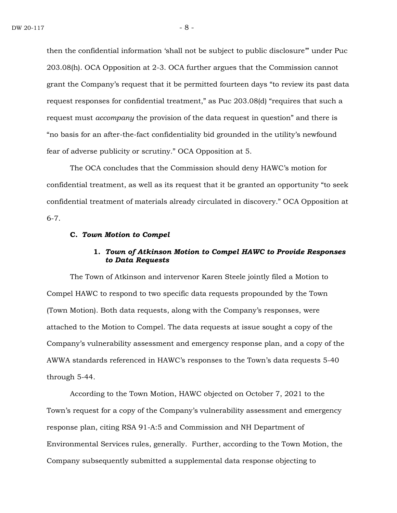then the confidential information 'shall not be subject to public disclosure'" under Puc 203.08(h). OCA Opposition at 2-3. OCA further argues that the Commission cannot grant the Company's request that it be permitted fourteen days "to review its past data request responses for confidential treatment," as Puc 203.08(d) "requires that such a request must *accompany* the provision of the data request in question" and there is "no basis for an after-the-fact confidentiality bid grounded in the utility's newfound fear of adverse publicity or scrutiny." OCA Opposition at 5.

The OCA concludes that the Commission should deny HAWC's motion for confidential treatment, as well as its request that it be granted an opportunity "to seek confidential treatment of materials already circulated in discovery." OCA Opposition at 6-7.

## **C.** *Town Motion to Compel*

# **1.** *Town of Atkinson Motion to Compel HAWC to Provide Responses to Data Requests*

The Town of Atkinson and intervenor Karen Steele jointly filed a Motion to Compel HAWC to respond to two specific data requests propounded by the Town (Town Motion). Both data requests, along with the Company's responses, were attached to the Motion to Compel. The data requests at issue sought a copy of the Company's vulnerability assessment and emergency response plan, and a copy of the AWWA standards referenced in HAWC's responses to the Town's data requests 5-40 through 5-44.

According to the Town Motion, HAWC objected on October 7, 2021 to the Town's request for a copy of the Company's vulnerability assessment and emergency response plan, citing RSA 91-A:5 and Commission and NH Department of Environmental Services rules, generally. Further, according to the Town Motion, the Company subsequently submitted a supplemental data response objecting to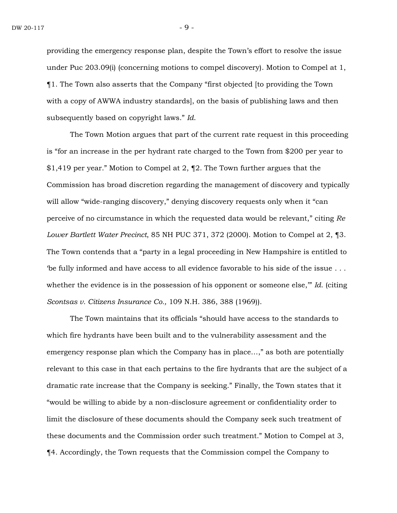providing the emergency response plan, despite the Town's effort to resolve the issue under Puc 203.09(i) (concerning motions to compel discovery). Motion to Compel at 1, ¶1. The Town also asserts that the Company "first objected [to providing the Town with a copy of AWWA industry standards], on the basis of publishing laws and then subsequently based on copyright laws." *Id*.

The Town Motion argues that part of the current rate request in this proceeding is "for an increase in the per hydrant rate charged to the Town from \$200 per year to \$1,419 per year." Motion to Compel at 2, ¶2. The Town further argues that the Commission has broad discretion regarding the management of discovery and typically will allow "wide-ranging discovery," denying discovery requests only when it "can perceive of no circumstance in which the requested data would be relevant," citing *Re Lower Bartlett Water Precinct*, 85 NH PUC 371, 372 (2000). Motion to Compel at 2, ¶3. The Town contends that a "party in a legal proceeding in New Hampshire is entitled to 'be fully informed and have access to all evidence favorable to his side of the issue . . . whether the evidence is in the possession of his opponent or someone else," *Id.* (citing *Scontsas v. Citizens Insurance Co.,* 109 N.H. 386, 388 (1969)).

The Town maintains that its officials "should have access to the standards to which fire hydrants have been built and to the vulnerability assessment and the emergency response plan which the Company has in place...," as both are potentially relevant to this case in that each pertains to the fire hydrants that are the subject of a dramatic rate increase that the Company is seeking." Finally, the Town states that it "would be willing to abide by a non-disclosure agreement or confidentiality order to limit the disclosure of these documents should the Company seek such treatment of these documents and the Commission order such treatment." Motion to Compel at 3, ¶4. Accordingly, the Town requests that the Commission compel the Company to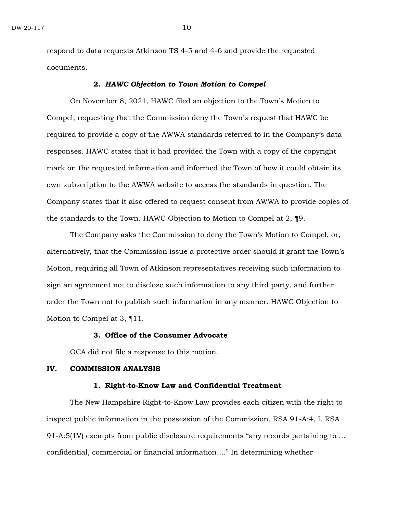respond to data requests Atkinson TS 4-5 and 4-6 and provide the requested documents.

# **2.** *HAWC Objection to Town Motion to Compel*

On November 8, 2021, HAWC filed an objection to the Town's Motion to Compel, requesting that the Commission deny the Town's request that HAWC be required to provide a copy of the AWWA standards referred to in the Company's data responses. HAWC states that it had provided the Town with a copy of the copyright mark on the requested information and informed the Town of how it could obtain its own subscription to the AWWA website to access the standards in question. The Company states that it also offered to request consent from AWWA to provide copies of the standards to the Town. HAWC Objection to Motion to Compel at 2, ¶9.

The Company asks the Commission to deny the Town's Motion to Compel, or, alternatively, that the Commission issue a protective order should it grant the Town's Motion, requiring all Town of Atkinson representatives receiving such information to sign an agreement not to disclose such information to any third party, and further order the Town not to publish such information in any manner. HAWC Objection to Motion to Compel at 3, ¶11.

# **3. Office of the Consumer Advocate**

OCA did not file a response to this motion.

## **IV. COMMISSION ANALYSIS**

## **1. Right-to-Know Law and Confidential Treatment**

The New Hampshire Right-to-Know Law provides each citizen with the right to inspect public information in the possession of the Commission. RSA 91-A:4, I. RSA 91-A:5(1V) exempts from public disclosure requirements "any records pertaining to ... confidential, commercial or financial information...." In determining whether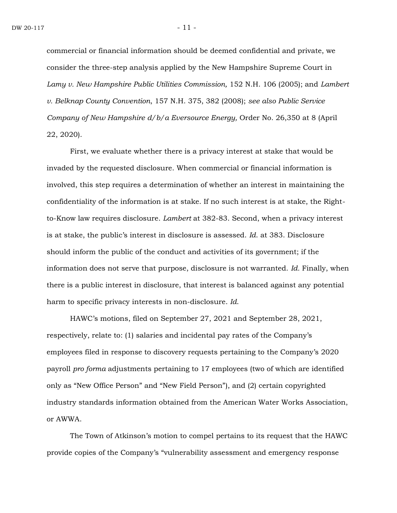commercial or financial information should be deemed confidential and private, we consider the three-step analysis applied by the New Hampshire Supreme Court in *Lamy v. New Hampshire Public Utilities Commission,* 152 N.H. 106 (2005); and *Lambert v. Belknap County Convention*, 157 N.H. 375, 382 (2008); *see also Public Service Company of New Hampshire d/b/a Eversource Energy,* Order No. 26,350 at 8 (April 22, 2020).

First, we evaluate whether there is a privacy interest at stake that would be invaded by the requested disclosure. When commercial or financial information is involved, this step requires a determination of whether an interest in maintaining the confidentiality of the information is at stake. If no such interest is at stake, the Rightto-Know law requires disclosure. *Lambert* at 382-83. Second, when a privacy interest is at stake, the public's interest in disclosure is assessed. *Id*. at 383. Disclosure should inform the public of the conduct and activities of its government; if the information does not serve that purpose, disclosure is not warranted. *Id.* Finally, when there is a public interest in disclosure, that interest is balanced against any potential harm to specific privacy interests in non-disclosure. *Id*.

HAWC's motions, filed on September 27, 2021 and September 28, 2021, respectively, relate to: (1) salaries and incidental pay rates of the Company's employees filed in response to discovery requests pertaining to the Company's 2020 payroll *pro forma* adjustments pertaining to 17 employees (two of which are identified only as "New Office Person" and "New Field Person"), and (2) certain copyrighted industry standards information obtained from the American Water Works Association, or AWWA.

The Town of Atkinson's motion to compel pertains to its request that the HAWC provide copies of the Company's "vulnerability assessment and emergency response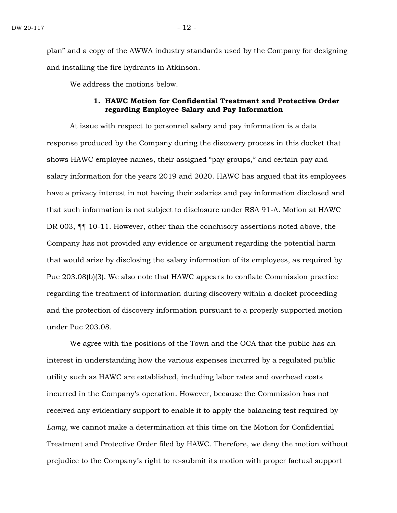plan" and a copy of the AWWA industry standards used by the Company for designing and installing the fire hydrants in Atkinson.

We address the motions below.

# **1. HAWC Motion for Confidential Treatment and Protective Order regarding Employee Salary and Pay Information**

At issue with respect to personnel salary and pay information is a data response produced by the Company during the discovery process in this docket that shows HAWC employee names, their assigned "pay groups," and certain pay and salary information for the years 2019 and 2020. HAWC has argued that its employees have a privacy interest in not having their salaries and pay information disclosed and that such information is not subject to disclosure under RSA 91-A. Motion at HAWC DR 003, ¶¶ 10-11. However, other than the conclusory assertions noted above, the Company has not provided any evidence or argument regarding the potential harm that would arise by disclosing the salary information of its employees, as required by Puc 203.08(b)(3). We also note that HAWC appears to conflate Commission practice regarding the treatment of information during discovery within a docket proceeding and the protection of discovery information pursuant to a properly supported motion under Puc 203.08.

We agree with the positions of the Town and the OCA that the public has an interest in understanding how the various expenses incurred by a regulated public utility such as HAWC are established, including labor rates and overhead costs incurred in the Company's operation. However, because the Commission has not received any evidentiary support to enable it to apply the balancing test required by *Lamy*, we cannot make a determination at this time on the Motion for Confidential Treatment and Protective Order filed by HAWC. Therefore, we deny the motion without prejudice to the Company's right to re-submit its motion with proper factual support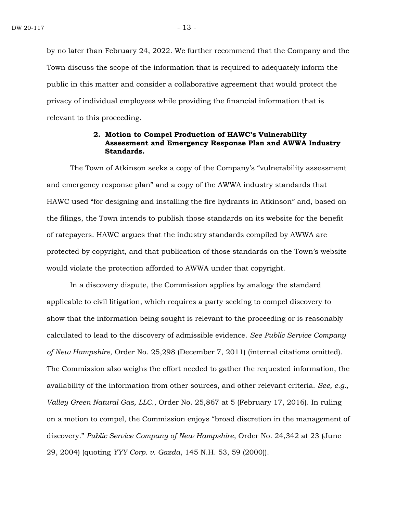by no later than February 24, 2022. We further recommend that the Company and the Town discuss the scope of the information that is required to adequately inform the public in this matter and consider a collaborative agreement that would protect the privacy of individual employees while providing the financial information that is relevant to this proceeding.

# **2. Motion to Compel Production of HAWC's Vulnerability Assessment and Emergency Response Plan and AWWA Industry Standards.**

The Town of Atkinson seeks a copy of the Company's "vulnerability assessment and emergency response plan" and a copy of the AWWA industry standards that HAWC used "for designing and installing the fire hydrants in Atkinson" and, based on the filings, the Town intends to publish those standards on its website for the benefit of ratepayers. HAWC argues that the industry standards compiled by AWWA are protected by copyright, and that publication of those standards on the Town's website would violate the protection afforded to AWWA under that copyright.

In a discovery dispute, the Commission applies by analogy the standard applicable to civil litigation, which requires a party seeking to compel discovery to show that the information being sought is relevant to the proceeding or is reasonably calculated to lead to the discovery of admissible evidence. *See Public Service Company of New Hampshire*, Order No. 25,298 (December 7, 2011) (internal citations omitted). The Commission also weighs the effort needed to gather the requested information, the availability of the information from other sources, and other relevant criteria. *See, e.g., Valley Green Natural Gas, LLC.*, Order No. 25,867 at 5 (February 17, 2016). In ruling on a motion to compel, the Commission enjoys "broad discretion in the management of discovery." *Public Service Company of New Hampshire*, Order No. 24,342 at 23 (June 29, 2004) (quoting *YYY Corp. v. Gazda*, 145 N.H. 53, 59 (2000)).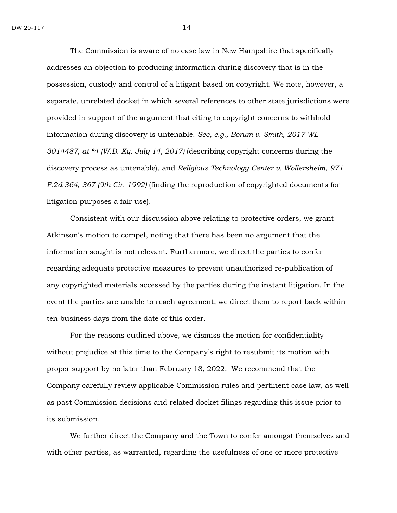The Commission is aware of no case law in New Hampshire that specifically addresses an objection to producing information during discovery that is in the possession, custody and control of a litigant based on copyright. We note, however, a separate, unrelated docket in which several references to other state jurisdictions were provided in support of the argument that citing to copyright concerns to withhold information during discovery is untenable. *See, e.g., Borum v. Smith, 2017 WL 3014487, at \*4 (W.D. Ky. July 14, 2017)* (describing copyright concerns during the discovery process as untenable), and *Religious Technology Center v. Wollersheim, 971 F.2d 364, 367 (9th Cir. 1992)* (finding the reproduction of copyrighted documents for litigation purposes a fair use)*.*

Consistent with our discussion above relating to protective orders, we grant Atkinson's motion to compel, noting that there has been no argument that the information sought is not relevant. Furthermore, we direct the parties to confer regarding adequate protective measures to prevent unauthorized re-publication of any copyrighted materials accessed by the parties during the instant litigation. In the event the parties are unable to reach agreement, we direct them to report back within ten business days from the date of this order.

For the reasons outlined above, we dismiss the motion for confidentiality without prejudice at this time to the Company's right to resubmit its motion with proper support by no later than February 18, 2022. We recommend that the Company carefully review applicable Commission rules and pertinent case law, as well as past Commission decisions and related docket filings regarding this issue prior to its submission.

We further direct the Company and the Town to confer amongst themselves and with other parties, as warranted, regarding the usefulness of one or more protective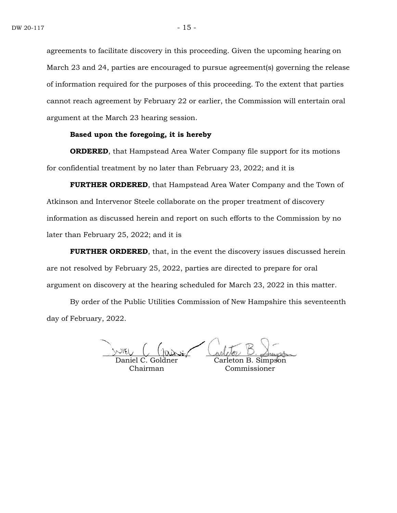agreements to facilitate discovery in this proceeding. Given the upcoming hearing on March 23 and 24, parties are encouraged to pursue agreement(s) governing the release of information required for the purposes of this proceeding. To the extent that parties cannot reach agreement by February 22 or earlier, the Commission will entertain oral argument at the March 23 hearing session.

#### **Based upon the foregoing, it is hereby**

**ORDERED**, that Hampstead Area Water Company file support for its motions for confidential treatment by no later than February 23, 2022; and it is

**FURTHER ORDERED**, that Hampstead Area Water Company and the Town of Atkinson and Intervenor Steele collaborate on the proper treatment of discovery information as discussed herein and report on such efforts to the Commission by no later than February 25, 2022; and it is

**FURTHER ORDERED**, that, in the event the discovery issues discussed herein are not resolved by February 25, 2022, parties are directed to prepare for oral argument on discovery at the hearing scheduled for March 23, 2022 in this matter.

By order of the Public Utilities Commission of New Hampshire this seventeenth day of February, 2022.

Daniel C. Goldner

Chairman

Simpson Commissioner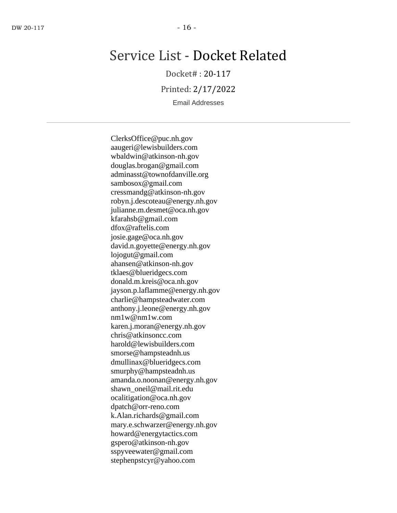# Service List - Docket Related

Docket# : 20-117

Printed: 2/17/2022

Email Addresses

ClerksOffice@puc.nh.gov aaugeri@lewisbuilders.com wbaldwin@atkinson-nh.gov douglas.brogan@gmail.com adminasst@townofdanville.org sambosox@gmail.com cressmandg@atkinson-nh.gov robyn.j.descoteau@energy.nh.gov julianne.m.desmet@oca.nh.gov kfarahsb@gmail.com dfox@raftelis.com josie.gage@oca.nh.gov david.n.goyette@energy.nh.gov lojogut@gmail.com ahansen@atkinson-nh.gov tklaes@blueridgecs.com donald.m.kreis@oca.nh.gov jayson.p.laflamme@energy.nh.gov charlie@hampsteadwater.com anthony.j.leone@energy.nh.gov nm1w@nm1w.com karen.j.moran@energy.nh.gov chris@atkinsoncc.com harold@lewisbuilders.com smorse@hampsteadnh.us dmullinax@blueridgecs.com smurphy@hampsteadnh.us amanda.o.noonan@energy.nh.gov shawn\_oneil@mail.rit.edu ocalitigation@oca.nh.gov dpatch@orr-reno.com k.Alan.richards@gmail.com mary.e.schwarzer@energy.nh.gov howard@energytactics.com gspero@atkinson-nh.gov sspyveewater@gmail.com stephenpstcyr@yahoo.com